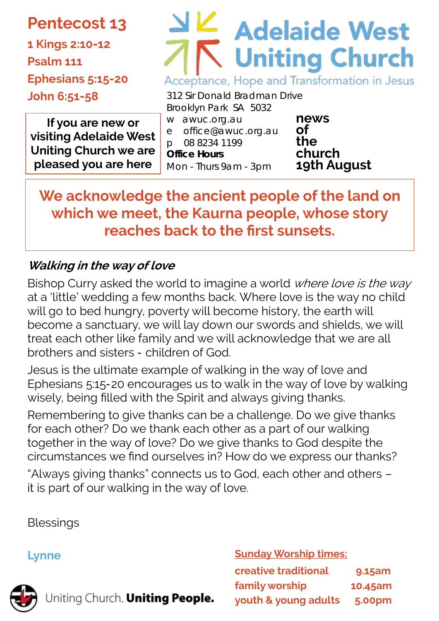# **Pentecost 13**

**1 Kings 2:10-12 Psalm 111 Ephesians 5:15-20 John 6:51-58**

# **Adelaide West Uniting Church** Acceptance, Hope and Transformation in Jesus

312 Sir Donald Bradman Drive Brooklyn Park SA 5032

**If you are new or visiting Adelaide West Uniting Church we are pleased you are here**

w awuc.org.au e office@awuc.org.au p 08 8234 1199 **Office Hours**  Mon - Thurs 9am - 3pm

**news of the church 19th August** 

**We acknowledge the ancient people of the land on which we meet, the Kaurna people, whose story reaches back to the first sunsets.**

# **Walking in the way of love**

Bishop Curry asked the world to imagine a world where love is the way at a 'little' wedding a few months back. Where love is the way no child will go to bed hungry, poverty will become history, the earth will become a sanctuary, we will lay down our swords and shields, we will treat each other like family and we will acknowledge that we are all brothers and sisters - children of God.

Jesus is the ultimate example of walking in the way of love and Ephesians 5:15-20 encourages us to walk in the way of love by walking wisely, being filled with the Spirit and always giving thanks.

Remembering to give thanks can be a challenge. Do we give thanks for each other? Do we thank each other as a part of our walking together in the way of love? Do we give thanks to God despite the circumstances we find ourselves in? How do we express our thanks?

"Always giving thanks" connects us to God, each other and others – it is part of our walking in the way of love.

**Blessings** 

# **Lynne**



Uniting Church. Uniting People.

**Sunday Worship times: creative traditional 9.15am family worship 10.45am youth & young adults 5.00pm**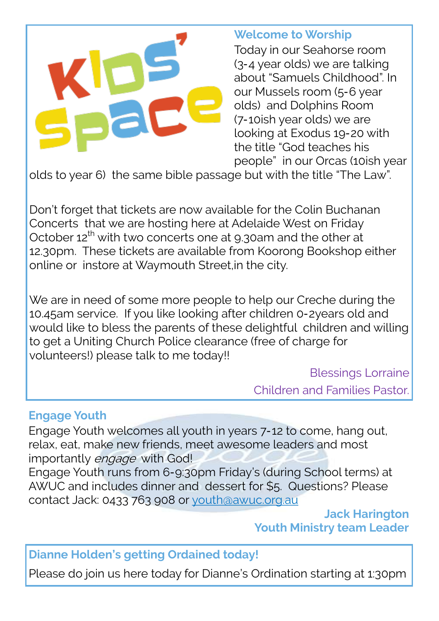

## **Welcome to Worship**

Today in our Seahorse room (3-4 year olds) we are talking about "Samuels Childhood". In our Mussels room (5-6 year olds) and Dolphins Room (7-10ish year olds) we are looking at Exodus 19-20 with the title "God teaches his people" in our Orcas (10ish year

olds to year 6) the same bible passage but with the title "The Law".

Don't forget that tickets are now available for the Colin Buchanan Concerts that we are hosting here at Adelaide West on Friday October 12<sup>th</sup> with two concerts one at 9.30am and the other at 12.30pm. These tickets are available from Koorong Bookshop either online or instore at Waymouth Street,in the city.

We are in need of some more people to help our Creche during the 10.45am service. If you like looking after children 0-2years old and would like to bless the parents of these delightful children and willing to get a Uniting Church Police clearance (free of charge for volunteers!) please talk to me today!!

Blessings Lorraine

Children and Families Pastor.

#### **Engage Youth**

Engage Youth welcomes all youth in years 7-12 to come, hang out, relax, eat, make new friends, meet awesome leaders and most importantly engage with God!

Engage Youth runs from 6-9:30pm Friday's (during School terms) at AWUC and includes dinner and dessert for \$5. Questions? Please contact Jack: 0433 763 908 or [youth@awuc.org.au](mailto:youth@awuc.org.au)

> **Jack Harington Youth Ministry team Leader**

**Dianne Holden's getting Ordained today!**

Please do join us here today for Dianne's Ordination starting at 1:30pm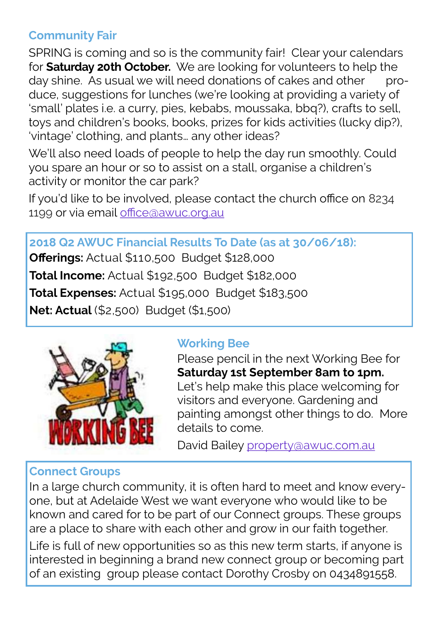## **Community Fair**

SPRING is coming and so is the community fair! Clear your calendars for **Saturday 20th October.** We are looking for volunteers to help the day shine. As usual we will need donations of cakes and other produce, suggestions for lunches (we're looking at providing a variety of 'small' plates i.e. a curry, pies, kebabs, moussaka, bbq?), crafts to sell, toys and children's books, books, prizes for kids activities (lucky dip?), 'vintage' clothing, and plants… any other ideas?

We'll also need loads of people to help the day run smoothly. Could you spare an hour or so to assist on a stall, organise a children's activity or monitor the car park?

If you'd like to be involved, please contact the church office on 8234 1199 or via email [office@awuc.org.au](mailto:office@awuc?.??.co.au)

**2018 Q2 AWUC Financial Results To Date (as at 30/06/18): Offerings:** Actual \$110,500 Budget \$128,000 **Total Income:** Actual \$192,500 Budget \$182,000 **Total Expenses:** Actual \$195,000 Budget \$183,500 **Net: Actual** (\$2,500) Budget (\$1,500)



# **Working Bee**

Please pencil in the next Working Bee for **Saturday 1st September 8am to 1pm.**  Let's help make this place welcoming for visitors and everyone. Gardening and painting amongst other things to do. More details to come.

David Bailey [property@awuc.com.au](mailto:propoerty@awuc.com.au)

## **Connect Groups**

In a large church community, it is often hard to meet and know everyone, but at Adelaide West we want everyone who would like to be known and cared for to be part of our Connect groups. These groups are a place to share with each other and grow in our faith together.

Life is full of new opportunities so as this new term starts, if anyone is interested in beginning a brand new connect group or becoming part of an existing group please contact Dorothy Crosby on 0434891558.